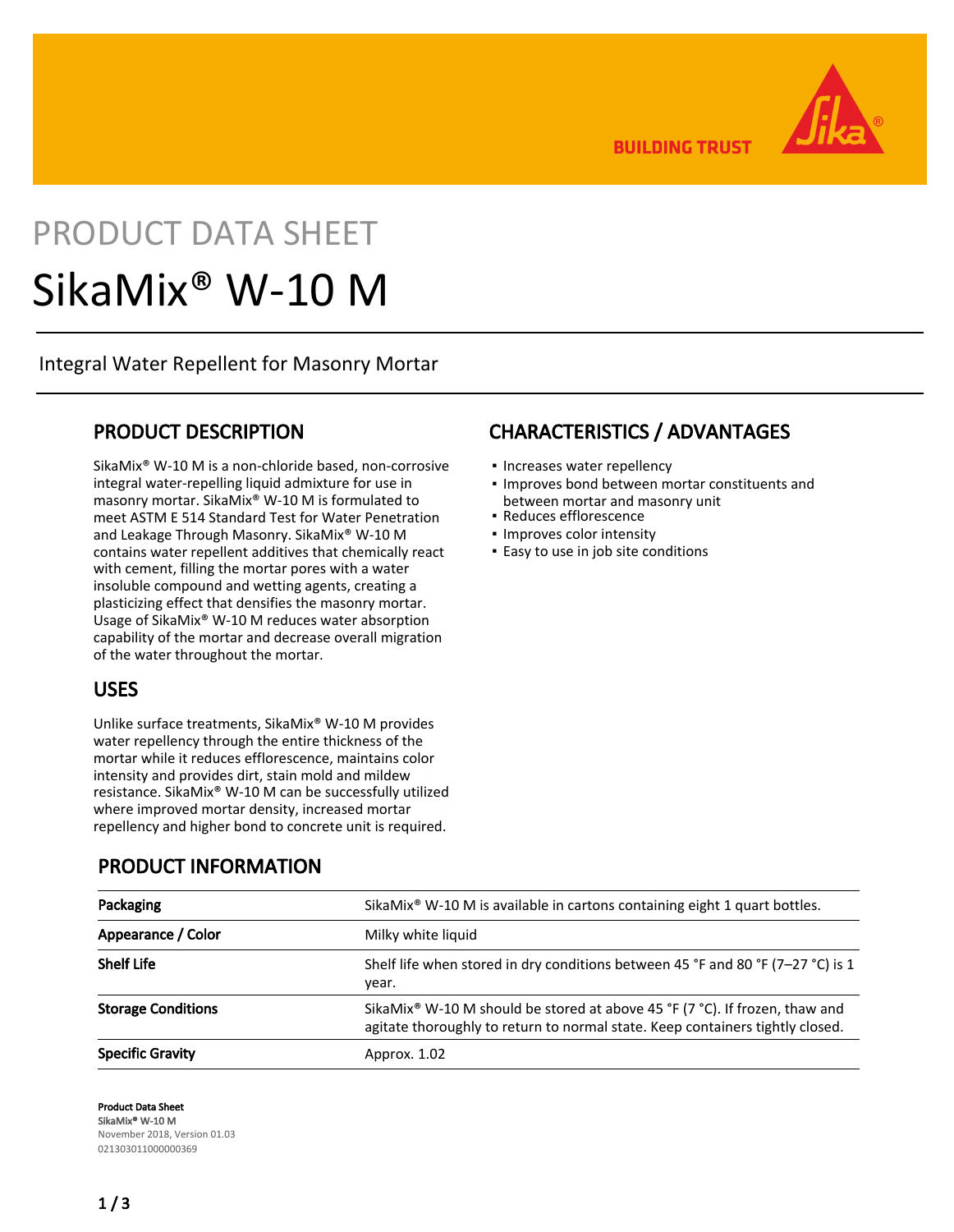**BUILDING TRUST** 

# PRODUCT DATA SHEET SikaMix® W-10 M

Integral Water Repellent for Masonry Mortar

#### PRODUCT DESCRIPTION

SikaMix® W-10 M is a non-chloride based, non-corrosive integral water-repelling liquid admixture for use in masonry mortar. SikaMix® W-10 M is formulated to meet ASTM E 514 Standard Test for Water Penetration and Leakage Through Masonry. SikaMix® W-10 M contains water repellent additives that chemically react with cement, filling the mortar pores with a water insoluble compound and wetting agents, creating a plasticizing effect that densifies the masonry mortar. Usage of SikaMix® W-10 M reduces water absorption capability of the mortar and decrease overall migration of the water throughout the mortar.

#### USES

Unlike surface treatments, SikaMix® W-10 M provides water repellency through the entire thickness of the mortar while it reduces efflorescence, maintains color intensity and provides dirt, stain mold and mildew resistance. SikaMix® W-10 M can be successfully utilized where improved mortar density, increased mortar repellency and higher bond to concrete unit is required.

## CHARACTERISTICS / ADVANTAGES

- Increases water repellency
- **.** Improves bond between mortar constituents and between mortar and masonry unit
- Reduces efflorescence
- Improves color intensity
- **Easy to use in job site conditions**

| Packaging                 | SikaMix® W-10 M is available in cartons containing eight 1 quart bottles.                                                                                                |
|---------------------------|--------------------------------------------------------------------------------------------------------------------------------------------------------------------------|
| Appearance / Color        | Milky white liquid                                                                                                                                                       |
| <b>Shelf Life</b>         | Shelf life when stored in dry conditions between 45 °F and 80 °F (7-27 °C) is 1<br>year.                                                                                 |
| <b>Storage Conditions</b> | SikaMix <sup>®</sup> W-10 M should be stored at above 45 °F (7 °C). If frozen, thaw and<br>agitate thoroughly to return to normal state. Keep containers tightly closed. |
| <b>Specific Gravity</b>   | Approx. 1.02                                                                                                                                                             |

Product Data Sheet SikaMix® W-10 M November 2018, Version 01.03 021303011000000369

### PRODUCT INFORMATION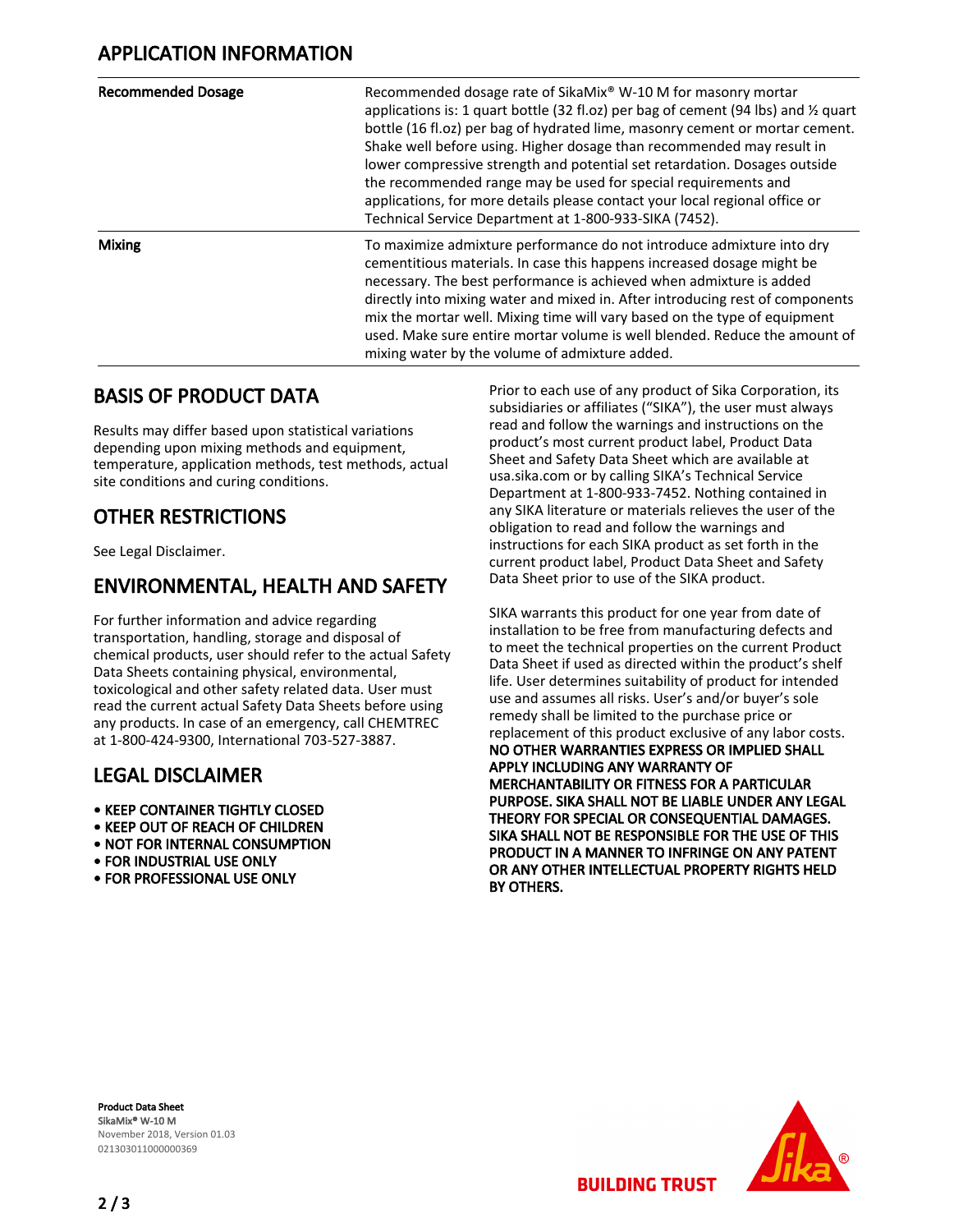| <b>Recommended Dosage</b> | Recommended dosage rate of SikaMix® W-10 M for masonry mortar<br>applications is: 1 quart bottle (32 fl.oz) per bag of cement (94 lbs) and $\frac{1}{2}$ quart<br>bottle (16 fl.oz) per bag of hydrated lime, masonry cement or mortar cement.<br>Shake well before using. Higher dosage than recommended may result in<br>lower compressive strength and potential set retardation. Dosages outside<br>the recommended range may be used for special requirements and<br>applications, for more details please contact your local regional office or<br>Technical Service Department at 1-800-933-SIKA (7452). |
|---------------------------|-----------------------------------------------------------------------------------------------------------------------------------------------------------------------------------------------------------------------------------------------------------------------------------------------------------------------------------------------------------------------------------------------------------------------------------------------------------------------------------------------------------------------------------------------------------------------------------------------------------------|
| <b>Mixing</b>             | To maximize admixture performance do not introduce admixture into dry<br>cementitious materials. In case this happens increased dosage might be<br>necessary. The best performance is achieved when admixture is added<br>directly into mixing water and mixed in. After introducing rest of components<br>mix the mortar well. Mixing time will vary based on the type of equipment<br>used. Make sure entire mortar volume is well blended. Reduce the amount of<br>mixing water by the volume of admixture added.                                                                                            |

#### BASIS OF PRODUCT DATA

Results may differ based upon statistical variations depending upon mixing methods and equipment, temperature, application methods, test methods, actual site conditions and curing conditions.

## OTHER RESTRICTIONS

See Legal Disclaimer.

#### ENVIRONMENTAL, HEALTH AND SAFETY

For further information and advice regarding transportation, handling, storage and disposal of chemical products, user should refer to the actual Safety Data Sheets containing physical, environmental, toxicological and other safety related data. User must read the current actual Safety Data Sheets before using any products. In case of an emergency, call CHEMTREC at 1-800-424-9300, International 703-527-3887.

### LEGAL DISCLAIMER

- KEEP CONTAINER TIGHTLY CLOSED
- KEEP OUT OF REACH OF CHILDREN
- NOT FOR INTERNAL CONSUMPTION
- FOR INDUSTRIAL USE ONLY
- FOR PROFESSIONAL USE ONLY

Prior to each use of any product of Sika Corporation, its subsidiaries or affiliates ("SIKA"), the user must always read and follow the warnings and instructions on the product's most current product label, Product Data Sheet and Safety Data Sheet which are available at usa.sika.com or by calling SIKA's Technical Service Department at 1-800-933-7452. Nothing contained in any SIKA literature or materials relieves the user of the obligation to read and follow the warnings and instructions for each SIKA product as set forth in the current product label, Product Data Sheet and Safety Data Sheet prior to use of the SIKA product.

SIKA warrants this product for one year from date of installation to be free from manufacturing defects and to meet the technical properties on the current Product Data Sheet if used as directed within the product's shelf life. User determines suitability of product for intended use and assumes all risks. User's and/or buyer's sole remedy shall be limited to the purchase price or replacement of this product exclusive of any labor costs. NO OTHER WARRANTIES EXPRESS OR IMPLIED SHALL APPLY INCLUDING ANY WARRANTY OF MERCHANTABILITY OR FITNESS FOR A PARTICULAR PURPOSE. SIKA SHALL NOT BE LIABLE UNDER ANY LEGAL THEORY FOR SPECIAL OR CONSEQUENTIAL DAMAGES. SIKA SHALL NOT BE RESPONSIBLE FOR THE USE OF THIS PRODUCT IN A MANNER TO INFRINGE ON ANY PATENT OR ANY OTHER INTELLECTUAL PROPERTY RIGHTS HELD BY OTHERS.

Product Data Sheet SikaMix® W-10 M November 2018, Version 01.03 021303011000000369